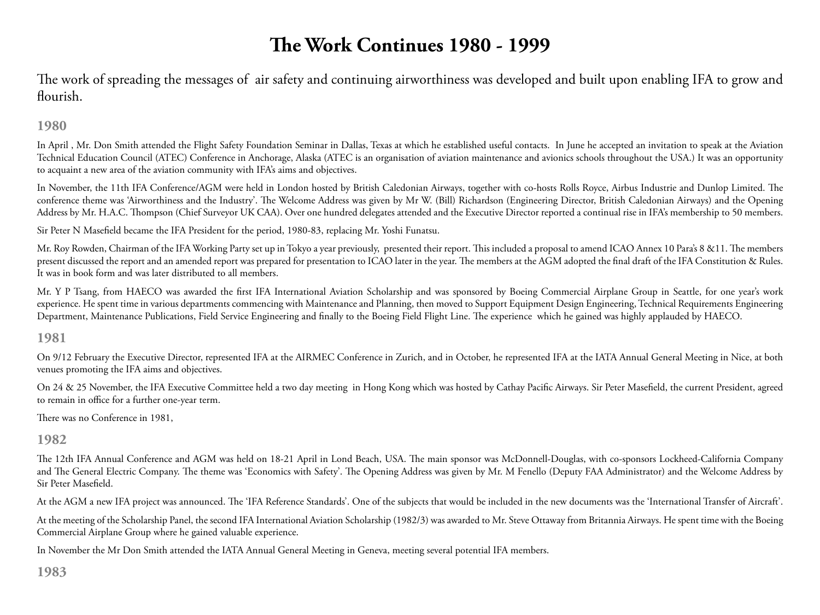# **The Work Continues 1980 - 1999**

The work of spreading the messages of air safety and continuing airworthiness was developed and built upon enabling IFA to grow and flourish.

# **1980**

In April , Mr. Don Smith attended the Flight Safety Foundation Seminar in Dallas, Texas at which he established useful contacts. In June he accepted an invitation to speak at the Aviation Technical Education Council (ATEC) Conference in Anchorage, Alaska (ATEC is an organisation of aviation maintenance and avionics schools throughout the USA.) It was an opportunity to acquaint a new area of the aviation community with IFA's aims and objectives.

In November, the 11th IFA Conference/AGM were held in London hosted by British Caledonian Airways, together with co-hosts Rolls Royce, Airbus Industrie and Dunlop Limited. The conference theme was 'Airworthiness and the Industry'. The Welcome Address was given by Mr W. (Bill) Richardson (Engineering Director, British Caledonian Airways) and the Opening Address by Mr. H.A.C. Thompson (Chief Surveyor UK CAA). Over one hundred delegates attended and the Executive Director reported a continual rise in IFA's membership to 50 members.

Sir Peter N Masefield became the IFA President for the period, 1980-83, replacing Mr. Yoshi Funatsu.

Mr. Roy Rowden, Chairman of the IFA Working Party set up in Tokyo a year previously, presented their report. This included a proposal to amend ICAO Annex 10 Para's 8 &11. The members present discussed the report and an amended report was prepared for presentation to ICAO later in the year. The members at the AGM adopted the final draft of the IFA Constitution & Rules. It was in book form and was later distributed to all members.

Mr. Y P Tsang, from HAECO was awarded the first IFA International Aviation Scholarship and was sponsored by Boeing Commercial Airplane Group in Seattle, for one year's work experience. He spent time in various departments commencing with Maintenance and Planning, then moved to Support Equipment Design Engineering, Technical Requirements Engineering Department, Maintenance Publications, Field Service Engineering and finally to the Boeing Field Flight Line. The experience which he gained was highly applauded by HAECO.

## **1981**

On 9/12 February the Executive Director, represented IFA at the AIRMEC Conference in Zurich, and in October, he represented IFA at the IATA Annual General Meeting in Nice, at both venues promoting the IFA aims and objectives.

On 24 & 25 November, the IFA Executive Committee held a two day meeting in Hong Kong which was hosted by Cathay Pacific Airways. Sir Peter Masefield, the current President, agreed to remain in office for a further one-year term.

There was no Conference in 1981,

# **1982**

The 12th IFA Annual Conference and AGM was held on 18-21 April in Lond Beach, USA. The main sponsor was McDonnell-Douglas, with co-sponsors Lockheed-California Company and The General Electric Company. The theme was 'Economics with Safety'. The Opening Address was given by Mr. M Fenello (Deputy FAA Administrator) and the Welcome Address by Sir Peter Masefield.

At the AGM a new IFA project was announced. The 'IFA Reference Standards'. One of the subjects that would be included in the new documents was the 'International Transfer of Aircraft'.

At the meeting of the Scholarship Panel, the second IFA International Aviation Scholarship (1982/3) was awarded to Mr. Steve Ottaway from Britannia Airways. He spent time with the Boeing Commercial Airplane Group where he gained valuable experience.

In November the Mr Don Smith attended the IATA Annual General Meeting in Geneva, meeting several potential IFA members.

# **1983**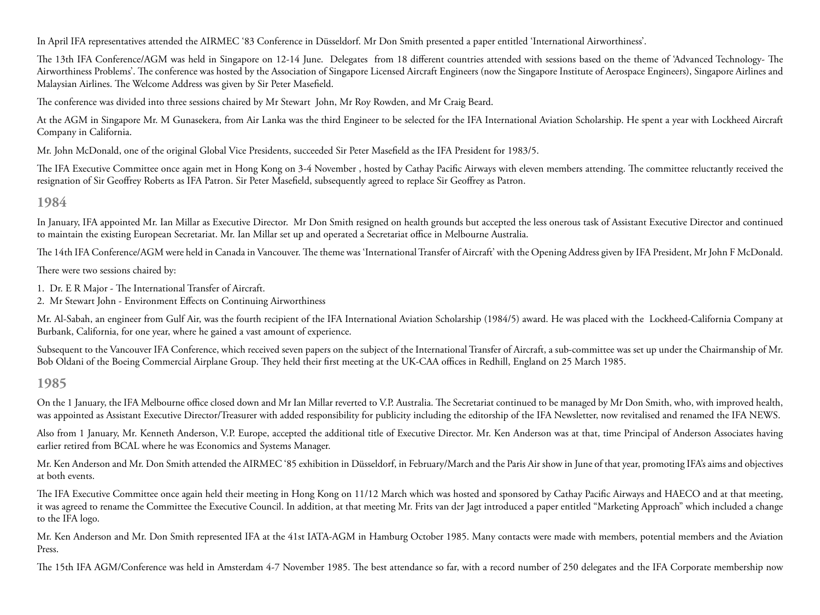In April IFA representatives attended the AIRMEC '83 Conference in Düsseldorf. Mr Don Smith presented a paper entitled 'International Airworthiness'.

The 13th IFA Conference/AGM was held in Singapore on 12-14 June. Delegates from 18 different countries attended with sessions based on the theme of 'Advanced Technology- The Airworthiness Problems'. The conference was hosted by the Association of Singapore Licensed Aircraft Engineers (now the Singapore Institute of Aerospace Engineers), Singapore Airlines and Malaysian Airlines. The Welcome Address was given by Sir Peter Masefield.

The conference was divided into three sessions chaired by Mr Stewart John, Mr Roy Rowden, and Mr Craig Beard.

At the AGM in Singapore Mr. M Gunasekera, from Air Lanka was the third Engineer to be selected for the IFA International Aviation Scholarship. He spent a year with Lockheed Aircraft Company in California.

Mr. John McDonald, one of the original Global Vice Presidents, succeeded Sir Peter Masefield as the IFA President for 1983/5.

The IFA Executive Committee once again met in Hong Kong on 3-4 November , hosted by Cathay Pacific Airways with eleven members attending. The committee reluctantly received the resignation of Sir Geoffrey Roberts as IFA Patron. Sir Peter Masefield, subsequently agreed to replace Sir Geoffrey as Patron.

# **1984**

In January, IFA appointed Mr. Ian Millar as Executive Director. Mr Don Smith resigned on health grounds but accepted the less onerous task of Assistant Executive Director and continued to maintain the existing European Secretariat. Mr. Ian Millar set up and operated a Secretariat office in Melbourne Australia.

The 14th IFA Conference/AGM were held in Canada in Vancouver. The theme was 'International Transfer of Aircraft' with the Opening Address given by IFA President, Mr John F McDonald.

There were two sessions chaired by:

- 1. Dr. E R Major The International Transfer of Aircraft.
- 2. Mr Stewart John Environment Effects on Continuing Airworthiness

Mr. Al-Sabah, an engineer from Gulf Air, was the fourth recipient of the IFA International Aviation Scholarship (1984/5) award. He was placed with the Lockheed-California Company at Burbank, California, for one year, where he gained a vast amount of experience.

Subsequent to the Vancouver IFA Conference, which received seven papers on the subject of the International Transfer of Aircraft, a sub-committee was set up under the Chairmanship of Mr. Bob Oldani of the Boeing Commercial Airplane Group. They held their first meeting at the UK-CAA offices in Redhill, England on 25 March 1985.

## **1985**

On the 1 January, the IFA Melbourne office closed down and Mr Ian Millar reverted to V.P. Australia. The Secretariat continued to be managed by Mr Don Smith, who, with improved health, was appointed as Assistant Executive Director/Treasurer with added responsibility for publicity including the editorship of the IFA Newsletter, now revitalised and renamed the IFA NEWS.

Also from 1 January, Mr. Kenneth Anderson, V.P. Europe, accepted the additional title of Executive Director. Mr. Ken Anderson was at that, time Principal of Anderson Associates having earlier retired from BCAL where he was Economics and Systems Manager.

Mr. Ken Anderson and Mr. Don Smith attended the AIRMEC '85 exhibition in Düsseldorf, in February/March and the Paris Air show in June of that year, promoting IFA's aims and objectives at both events.

The IFA Executive Committee once again held their meeting in Hong Kong on 11/12 March which was hosted and sponsored by Cathay Pacific Airways and HAECO and at that meeting, it was agreed to rename the Committee the Executive Council. In addition, at that meeting Mr. Frits van der Jagt introduced a paper entitled "Marketing Approach" which included a change to the IFA logo.

Mr. Ken Anderson and Mr. Don Smith represented IFA at the 41st IATA-AGM in Hamburg October 1985. Many contacts were made with members, potential members and the Aviation Press.

The 15th IFA AGM/Conference was held in Amsterdam 4-7 November 1985. The best attendance so far, with a record number of 250 delegates and the IFA Corporate membership now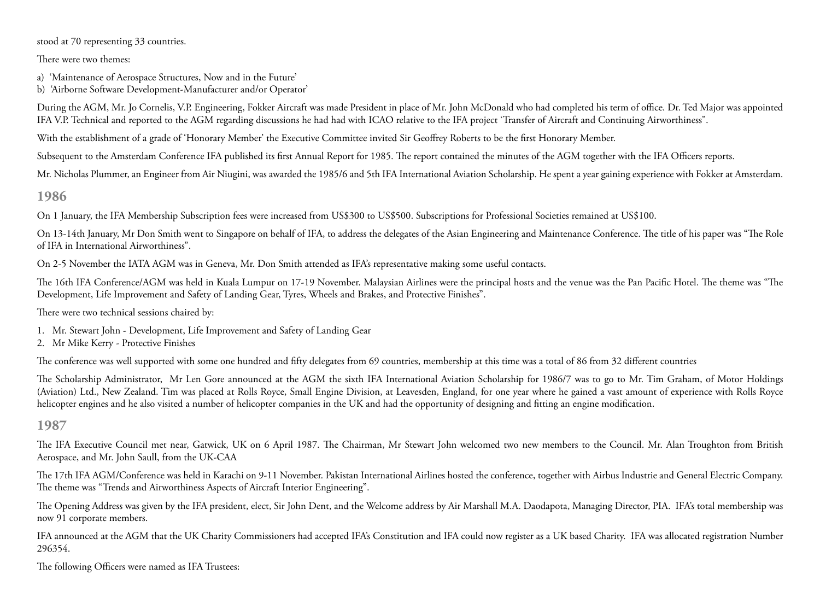stood at 70 representing 33 countries.

There were two themes:

a) 'Maintenance of Aerospace Structures, Now and in the Future'

b) 'Airborne Software Development-Manufacturer and/or Operator'

During the AGM, Mr. Jo Cornelis, V.P. Engineering, Fokker Aircraft was made President in place of Mr. John McDonald who had completed his term of office. Dr. Ted Major was appointed IFA V.P. Technical and reported to the AGM regarding discussions he had had with ICAO relative to the IFA project 'Transfer of Aircraft and Continuing Airworthiness".

With the establishment of a grade of 'Honorary Member' the Executive Committee invited Sir Geoffrey Roberts to be the first Honorary Member.

Subsequent to the Amsterdam Conference IFA published its first Annual Report for 1985. The report contained the minutes of the AGM together with the IFA Officers reports.

Mr. Nicholas Plummer, an Engineer from Air Niugini, was awarded the 1985/6 and 5th IFA International Aviation Scholarship. He spent a year gaining experience with Fokker at Amsterdam.

**1986**

On 1 January, the IFA Membership Subscription fees were increased from US\$300 to US\$500. Subscriptions for Professional Societies remained at US\$100.

On 13-14th January, Mr Don Smith went to Singapore on behalf of IFA, to address the delegates of the Asian Engineering and Maintenance Conference. The title of his paper was "The Role of IFA in International Airworthiness".

On 2-5 November the IATA AGM was in Geneva, Mr. Don Smith attended as IFA's representative making some useful contacts.

The 16th IFA Conference/AGM was held in Kuala Lumpur on 17-19 November. Malaysian Airlines were the principal hosts and the venue was the Pan Pacific Hotel. The theme was "The Development, Life Improvement and Safety of Landing Gear, Tyres, Wheels and Brakes, and Protective Finishes".

There were two technical sessions chaired by:

- 1. Mr. Stewart John Development, Life Improvement and Safety of Landing Gear
- 2. Mr Mike Kerry Protective Finishes

The conference was well supported with some one hundred and fifty delegates from 69 countries, membership at this time was a total of 86 from 32 different countries

The Scholarship Administrator, Mr Len Gore announced at the AGM the sixth IFA International Aviation Scholarship for 1986/7 was to go to Mr. Tim Graham, of Motor Holdings (Aviation) Ltd., New Zealand. Tim was placed at Rolls Royce, Small Engine Division, at Leavesden, England, for one year where he gained a vast amount of experience with Rolls Royce helicopter engines and he also visited a number of helicopter companies in the UK and had the opportunity of designing and fitting an engine modification.

# **1987**

The IFA Executive Council met near, Gatwick, UK on 6 April 1987. The Chairman, Mr Stewart John welcomed two new members to the Council. Mr. Alan Troughton from British Aerospace, and Mr. John Saull, from the UK-CAA

The 17th IFA AGM/Conference was held in Karachi on 9-11 November. Pakistan International Airlines hosted the conference, together with Airbus Industrie and General Electric Company. The theme was "Trends and Airworthiness Aspects of Aircraft Interior Engineering".

The Opening Address was given by the IFA president, elect, Sir John Dent, and the Welcome address by Air Marshall M.A. Daodapota, Managing Director, PIA. IFA's total membership was now 91 corporate members.

IFA announced at the AGM that the UK Charity Commissioners had accepted IFA's Constitution and IFA could now register as a UK based Charity. IFA was allocated registration Number 296354.

The following Officers were named as IFA Trustees: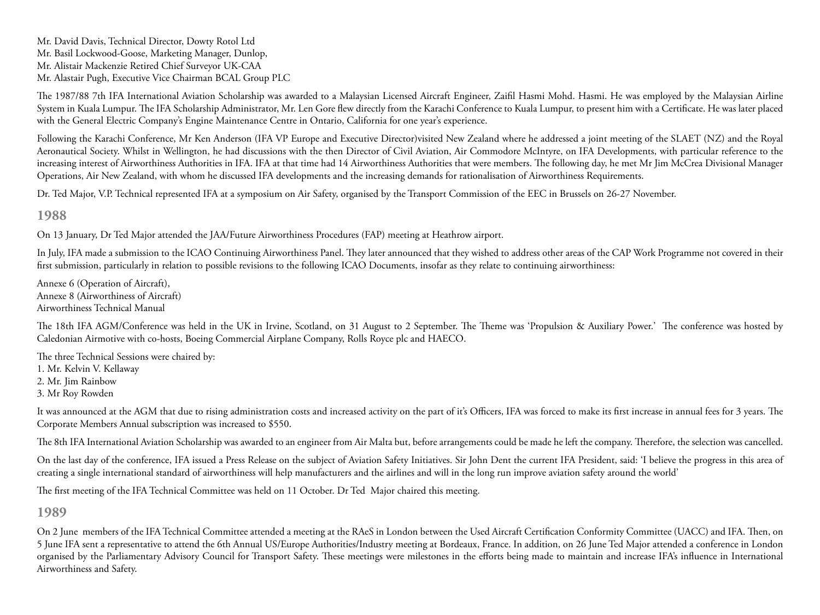Mr. David Davis, Technical Director, Dowty Rotol Ltd Mr. Basil Lockwood-Goose, Marketing Manager, Dunlop, Mr. Alistair Mackenzie Retired Chief Surveyor UK-CAA Mr. Alastair Pugh, Executive Vice Chairman BCAL Group PLC

The 1987/88 7th IFA International Aviation Scholarship was awarded to a Malaysian Licensed Aircraft Engineer, Zaifil Hasmi Mohd. Hasmi. He was employed by the Malaysian Airline System in Kuala Lumpur. The IFA Scholarship Administrator, Mr. Len Gore flew directly from the Karachi Conference to Kuala Lumpur, to present him with a Certificate. He was later placed with the General Electric Company's Engine Maintenance Centre in Ontario, California for one year's experience.

Following the Karachi Conference, Mr Ken Anderson (IFA VP Europe and Executive Director)visited New Zealand where he addressed a joint meeting of the SLAET (NZ) and the Royal Aeronautical Society. Whilst in Wellington, he had discussions with the then Director of Civil Aviation, Air Commodore McIntyre, on IFA Developments, with particular reference to the increasing interest of Airworthiness Authorities in IFA. IFA at that time had 14 Airworthiness Authorities that were members. The following day, he met Mr Jim McCrea Divisional Manager Operations, Air New Zealand, with whom he discussed IFA developments and the increasing demands for rationalisation of Airworthiness Requirements.

Dr. Ted Major, V.P. Technical represented IFA at a symposium on Air Safety, organised by the Transport Commission of the EEC in Brussels on 26-27 November.

#### **1988**

On 13 January, Dr Ted Major attended the JAA/Future Airworthiness Procedures (FAP) meeting at Heathrow airport.

In July, IFA made a submission to the ICAO Continuing Airworthiness Panel. They later announced that they wished to address other areas of the CAP Work Programme not covered in their first submission, particularly in relation to possible revisions to the following ICAO Documents, insofar as they relate to continuing airworthiness:

Annexe 6 (Operation of Aircraft), Annexe 8 (Airworthiness of Aircraft) Airworthiness Technical Manual

The 18th IFA AGM/Conference was held in the UK in Irvine, Scotland, on 31 August to 2 September. The Theme was 'Propulsion & Auxiliary Power.' The conference was hosted by Caledonian Airmotive with co-hosts, Boeing Commercial Airplane Company, Rolls Royce plc and HAECO.

The three Technical Sessions were chaired by: 1. Mr. Kelvin V. Kellaway

2. Mr. Jim Rainbow

3. Mr Roy Rowden

It was announced at the AGM that due to rising administration costs and increased activity on the part of it's Officers, IFA was forced to make its first increase in annual fees for 3 years. The Corporate Members Annual subscription was increased to \$550.

The 8th IFA International Aviation Scholarship was awarded to an engineer from Air Malta but, before arrangements could be made he left the company. Therefore, the selection was cancelled.

On the last day of the conference, IFA issued a Press Release on the subject of Aviation Safety Initiatives. Sir John Dent the current IFA President, said: 'I believe the progress in this area of creating a single international standard of airworthiness will help manufacturers and the airlines and will in the long run improve aviation safety around the world'

The first meeting of the IFA Technical Committee was held on 11 October. Dr Ted Major chaired this meeting.

**1989**

On 2 June members of the IFA Technical Committee attended a meeting at the RAeS in London between the Used Aircraft Certification Conformity Committee (UACC) and IFA. Then, on 5 June IFA sent a representative to attend the 6th Annual US/Europe Authorities/Industry meeting at Bordeaux, France. In addition, on 26 June Ted Major attended a conference in London organised by the Parliamentary Advisory Council for Transport Safety. These meetings were milestones in the efforts being made to maintain and increase IFA's influence in International Airworthiness and Safety.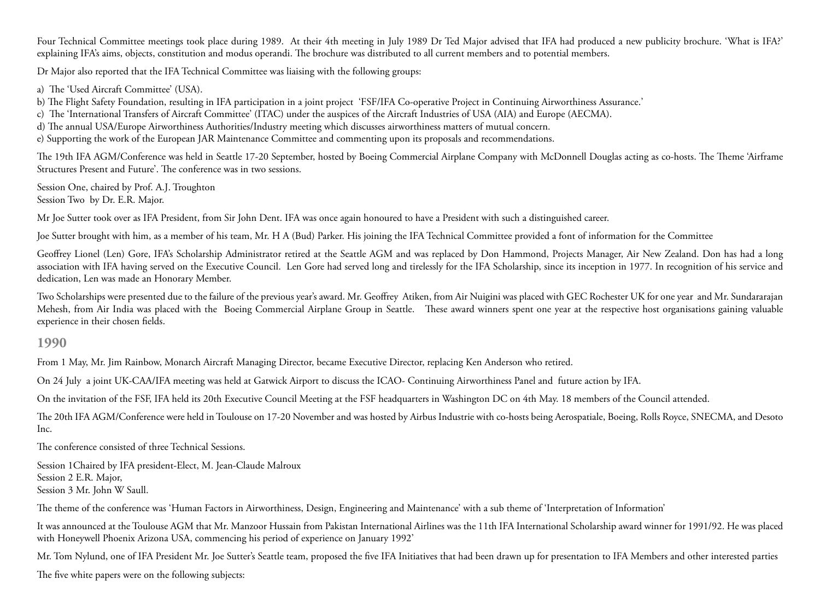Four Technical Committee meetings took place during 1989. At their 4th meeting in July 1989 Dr Ted Major advised that IFA had produced a new publicity brochure. 'What is IFA?' explaining IFA's aims, objects, constitution and modus operandi. The brochure was distributed to all current members and to potential members.

Dr Major also reported that the IFA Technical Committee was liaising with the following groups:

a) The 'Used Aircraft Committee' (USA).

b) The Flight Safety Foundation, resulting in IFA participation in a joint project 'FSF/IFA Co-operative Project in Continuing Airworthiness Assurance.'

c) The 'International Transfers of Aircraft Committee' (ITAC) under the auspices of the Aircraft Industries of USA (AIA) and Europe (AECMA).

d) The annual USA/Europe Airworthiness Authorities/Industry meeting which discusses airworthiness matters of mutual concern.

e) Supporting the work of the European JAR Maintenance Committee and commenting upon its proposals and recommendations.

The 19th IFA AGM/Conference was held in Seattle 17-20 September, hosted by Boeing Commercial Airplane Company with McDonnell Douglas acting as co-hosts. The Theme 'Airframe Structures Present and Future'. The conference was in two sessions.

Session One, chaired by Prof. A.J. Troughton Session Two by Dr. E.R. Major.

Mr Joe Sutter took over as IFA President, from Sir John Dent. IFA was once again honoured to have a President with such a distinguished career.

Joe Sutter brought with him, as a member of his team, Mr. H A (Bud) Parker. His joining the IFA Technical Committee provided a font of information for the Committee

Geoffrey Lionel (Len) Gore, IFA's Scholarship Administrator retired at the Seattle AGM and was replaced by Don Hammond, Projects Manager, Air New Zealand. Don has had a long association with IFA having served on the Executive Council. Len Gore had served long and tirelessly for the IFA Scholarship, since its inception in 1977. In recognition of his service and dedication, Len was made an Honorary Member.

Two Scholarships were presented due to the failure of the previous year's award. Mr. Geoffrey Atiken, from Air Nuigini was placed with GEC Rochester UK for one year and Mr. Sundararajan Mehesh, from Air India was placed with the Boeing Commercial Airplane Group in Seattle. These award winners spent one year at the respective host organisations gaining valuable experience in their chosen fields.

**1990**

From 1 May, Mr. Jim Rainbow, Monarch Aircraft Managing Director, became Executive Director, replacing Ken Anderson who retired.

On 24 July a joint UK-CAA/IFA meeting was held at Gatwick Airport to discuss the ICAO- Continuing Airworthiness Panel and future action by IFA.

On the invitation of the FSF, IFA held its 20th Executive Council Meeting at the FSF headquarters in Washington DC on 4th May. 18 members of the Council attended.

The 20th IFA AGM/Conference were held in Toulouse on 17-20 November and was hosted by Airbus Industrie with co-hosts being Aerospatiale, Boeing, Rolls Royce, SNECMA, and Desoto Inc.

The conference consisted of three Technical Sessions.

Session 1Chaired by IFA president-Elect, M. Jean-Claude Malroux Session 2 E.R. Major, Session 3 Mr. John W Saull.

The theme of the conference was 'Human Factors in Airworthiness, Design, Engineering and Maintenance' with a sub theme of 'Interpretation of Information'

It was announced at the Toulouse AGM that Mr. Manzoor Hussain from Pakistan International Airlines was the 11th IFA International Scholarship award winner for 1991/92. He was placed with Honeywell Phoenix Arizona USA, commencing his period of experience on January 1992'

Mr. Tom Nylund, one of IFA President Mr. Joe Sutter's Seattle team, proposed the five IFA Initiatives that had been drawn up for presentation to IFA Members and other interested parties

The five white papers were on the following subjects: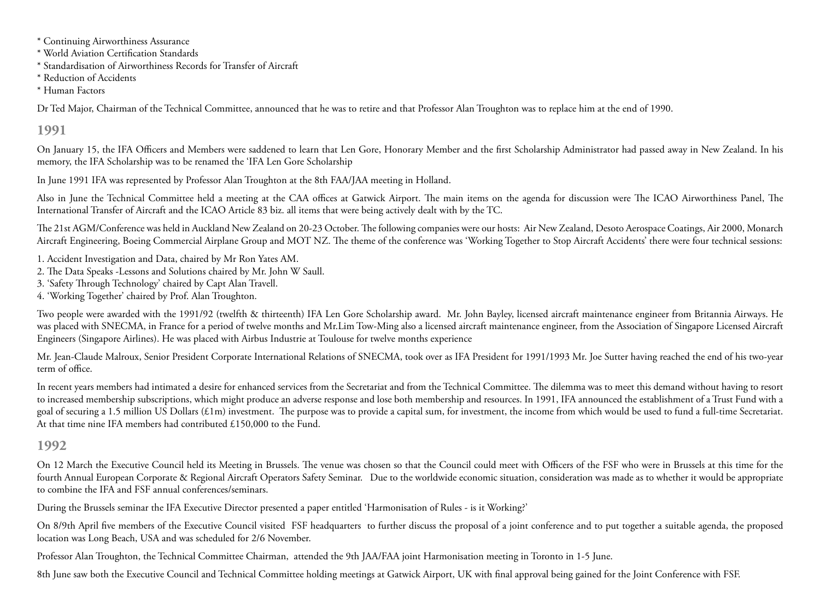\* Continuing Airworthiness Assurance

- \* World Aviation Certification Standards
- \* Standardisation of Airworthiness Records for Transfer of Aircraft
- \* Reduction of Accidents
- \* Human Factors

Dr Ted Major, Chairman of the Technical Committee, announced that he was to retire and that Professor Alan Troughton was to replace him at the end of 1990.

# **1991**

On January 15, the IFA Officers and Members were saddened to learn that Len Gore, Honorary Member and the first Scholarship Administrator had passed away in New Zealand. In his memory, the IFA Scholarship was to be renamed the 'IFA Len Gore Scholarship

In June 1991 IFA was represented by Professor Alan Troughton at the 8th FAA/JAA meeting in Holland.

Also in June the Technical Committee held a meeting at the CAA offices at Gatwick Airport. The main items on the agenda for discussion were The ICAO Airworthiness Panel, The International Transfer of Aircraft and the ICAO Article 83 biz. all items that were being actively dealt with by the TC.

The 21st AGM/Conference was held in Auckland New Zealand on 20-23 October. The following companies were our hosts: Air New Zealand, Desoto Aerospace Coatings, Air 2000, Monarch Aircraft Engineering, Boeing Commercial Airplane Group and MOT NZ. The theme of the conference was 'Working Together to Stop Aircraft Accidents' there were four technical sessions:

- 1. Accident Investigation and Data, chaired by Mr Ron Yates AM.
- 2. The Data Speaks -Lessons and Solutions chaired by Mr. John W Saull.
- 3. 'Safety Through Technology' chaired by Capt Alan Travell.
- 4. 'Working Together' chaired by Prof. Alan Troughton.

Two people were awarded with the 1991/92 (twelfth & thirteenth) IFA Len Gore Scholarship award. Mr. John Bayley, licensed aircraft maintenance engineer from Britannia Airways. He was placed with SNECMA, in France for a period of twelve months and Mr.Lim Tow-Ming also a licensed aircraft maintenance engineer, from the Association of Singapore Licensed Aircraft Engineers (Singapore Airlines). He was placed with Airbus Industrie at Toulouse for twelve months experience

Mr. Jean-Claude Malroux, Senior President Corporate International Relations of SNECMA, took over as IFA President for 1991/1993 Mr. Joe Sutter having reached the end of his two-year term of office.

In recent years members had intimated a desire for enhanced services from the Secretariat and from the Technical Committee. The dilemma was to meet this demand without having to resort to increased membership subscriptions, which might produce an adverse response and lose both membership and resources. In 1991, IFA announced the establishment of a Trust Fund with a goal of securing a 1.5 million US Dollars (£1m) investment. The purpose was to provide a capital sum, for investment, the income from which would be used to fund a full-time Secretariat. At that time nine IFA members had contributed £150,000 to the Fund.

# **1992**

On 12 March the Executive Council held its Meeting in Brussels. The venue was chosen so that the Council could meet with Officers of the FSF who were in Brussels at this time for the fourth Annual European Corporate & Regional Aircraft Operators Safety Seminar. Due to the worldwide economic situation, consideration was made as to whether it would be appropriate to combine the IFA and FSF annual conferences/seminars.

During the Brussels seminar the IFA Executive Director presented a paper entitled 'Harmonisation of Rules - is it Working?'

On 8/9th April five members of the Executive Council visited FSF headquarters to further discuss the proposal of a joint conference and to put together a suitable agenda, the proposed location was Long Beach, USA and was scheduled for 2/6 November.

Professor Alan Troughton, the Technical Committee Chairman, attended the 9th JAA/FAA joint Harmonisation meeting in Toronto in 1-5 June.

8th June saw both the Executive Council and Technical Committee holding meetings at Gatwick Airport, UK with final approval being gained for the Joint Conference with FSF.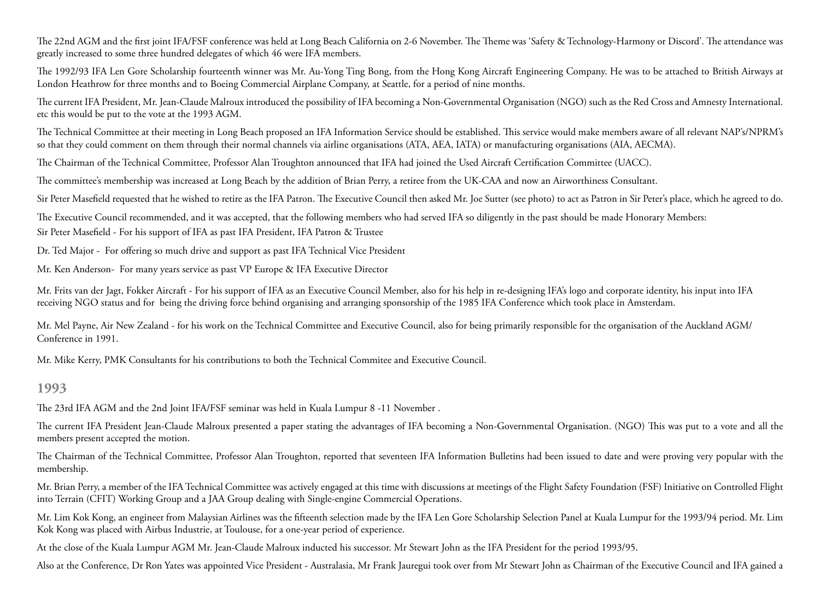The 22nd AGM and the first joint IFA/FSF conference was held at Long Beach California on 2-6 November. The Theme was 'Safety & Technology-Harmony or Discord'. The attendance was greatly increased to some three hundred delegates of which 46 were IFA members.

The 1992/93 IFA Len Gore Scholarship fourteenth winner was Mr. Au-Yong Ting Bong, from the Hong Kong Aircraft Engineering Company. He was to be attached to British Airways at London Heathrow for three months and to Boeing Commercial Airplane Company, at Seattle, for a period of nine months.

The current IFA President, Mr. Jean-Claude Malroux introduced the possibility of IFA becoming a Non-Governmental Organisation (NGO) such as the Red Cross and Amnesty International. etc this would be put to the vote at the 1993 AGM.

The Technical Committee at their meeting in Long Beach proposed an IFA Information Service should be established. This service would make members aware of all relevant NAP's/NPRM's so that they could comment on them through their normal channels via airline organisations (ATA, AEA, IATA) or manufacturing organisations (AIA, AECMA).

The Chairman of the Technical Committee, Professor Alan Troughton announced that IFA had joined the Used Aircraft Certification Committee (UACC).

The committee's membership was increased at Long Beach by the addition of Brian Perry, a retiree from the UK-CAA and now an Airworthiness Consultant.

Sir Peter Masefield requested that he wished to retire as the IFA Patron. The Executive Council then asked Mr. Joe Sutter (see photo) to act as Patron in Sir Peter's place, which he agreed to do.

The Executive Council recommended, and it was accepted, that the following members who had served IFA so diligently in the past should be made Honorary Members:

Sir Peter Masefield - For his support of IFA as past IFA President, IFA Patron & Trustee

Dr. Ted Major - For offering so much drive and support as past IFA Technical Vice President

Mr. Ken Anderson- For many years service as past VP Europe & IFA Executive Director

Mr. Frits van der Jagt, Fokker Aircraft - For his support of IFA as an Executive Council Member, also for his help in re-designing IFA's logo and corporate identity, his input into IFA receiving NGO status and for being the driving force behind organising and arranging sponsorship of the 1985 IFA Conference which took place in Amsterdam.

Mr. Mel Payne, Air New Zealand - for his work on the Technical Committee and Executive Council, also for being primarily responsible for the organisation of the Auckland AGM/ Conference in 1991.

Mr. Mike Kerry, PMK Consultants for his contributions to both the Technical Commitee and Executive Council.

## **1993**

The 23rd IFA AGM and the 2nd Joint IFA/FSF seminar was held in Kuala Lumpur 8 -11 November .

The current IFA President Jean-Claude Malroux presented a paper stating the advantages of IFA becoming a Non-Governmental Organisation. (NGO) This was put to a vote and all the members present accepted the motion.

The Chairman of the Technical Committee, Professor Alan Troughton, reported that seventeen IFA Information Bulletins had been issued to date and were proving very popular with the membership.

Mr. Brian Perry, a member of the IFA Technical Committee was actively engaged at this time with discussions at meetings of the Flight Safety Foundation (FSF) Initiative on Controlled Flight into Terrain (CFIT) Working Group and a JAA Group dealing with Single-engine Commercial Operations.

Mr. Lim Kok Kong, an engineer from Malaysian Airlines was the fifteenth selection made by the IFA Len Gore Scholarship Selection Panel at Kuala Lumpur for the 1993/94 period. Mr. Lim Kok Kong was placed with Airbus Industrie, at Toulouse, for a one-year period of experience.

At the close of the Kuala Lumpur AGM Mr. Jean-Claude Malroux inducted his successor. Mr Stewart John as the IFA President for the period 1993/95.

Also at the Conference, Dr Ron Yates was appointed Vice President - Australasia, Mr Frank Jauregui took over from Mr Stewart John as Chairman of the Executive Council and IFA gained a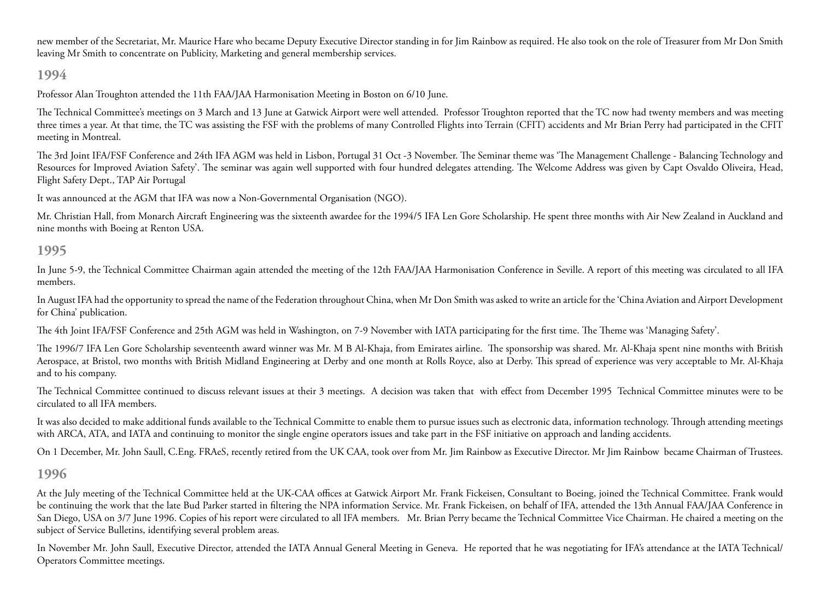new member of the Secretariat, Mr. Maurice Hare who became Deputy Executive Director standing in for Jim Rainbow as required. He also took on the role of Treasurer from Mr Don Smith leaving Mr Smith to concentrate on Publicity, Marketing and general membership services.

## **1994**

Professor Alan Troughton attended the 11th FAA/JAA Harmonisation Meeting in Boston on 6/10 June.

The Technical Committee's meetings on 3 March and 13 June at Gatwick Airport were well attended. Professor Troughton reported that the TC now had twenty members and was meeting three times a year. At that time, the TC was assisting the FSF with the problems of many Controlled Flights into Terrain (CFIT) accidents and Mr Brian Perry had participated in the CFIT meeting in Montreal.

The 3rd Joint IFA/FSF Conference and 24th IFA AGM was held in Lisbon, Portugal 31 Oct -3 November. The Seminar theme was 'The Management Challenge - Balancing Technology and Resources for Improved Aviation Safety'. The seminar was again well supported with four hundred delegates attending. The Welcome Address was given by Capt Osvaldo Oliveira, Head, Flight Safety Dept., TAP Air Portugal

It was announced at the AGM that IFA was now a Non-Governmental Organisation (NGO).

Mr. Christian Hall, from Monarch Aircraft Engineering was the sixteenth awardee for the 1994/5 IFA Len Gore Scholarship. He spent three months with Air New Zealand in Auckland and nine months with Boeing at Renton USA.

# **1995**

In June 5-9, the Technical Committee Chairman again attended the meeting of the 12th FAA/JAA Harmonisation Conference in Seville. A report of this meeting was circulated to all IFA members.

In August IFA had the opportunity to spread the name of the Federation throughout China, when Mr Don Smith was asked to write an article for the 'China Aviation and Airport Development for China' publication.

The 4th Joint IFA/FSF Conference and 25th AGM was held in Washington, on 7-9 November with IATA participating for the first time. The Theme was 'Managing Safety'.

The 1996/7 IFA Len Gore Scholarship seventeenth award winner was Mr. M B Al-Khaja, from Emirates airline. The sponsorship was shared. Mr. Al-Khaja spent nine months with British Aerospace, at Bristol, two months with British Midland Engineering at Derby and one month at Rolls Royce, also at Derby. This spread of experience was very acceptable to Mr. Al-Khaja and to his company.

The Technical Committee continued to discuss relevant issues at their 3 meetings. A decision was taken that with effect from December 1995 Technical Committee minutes were to be circulated to all IFA members.

It was also decided to make additional funds available to the Technical Committe to enable them to pursue issues such as electronic data, information technology. Through attending meetings with ARCA, ATA, and IATA and continuing to monitor the single engine operators issues and take part in the FSF initiative on approach and landing accidents.

On 1 December, Mr. John Saull, C.Eng. FRAeS, recently retired from the UK CAA, took over from Mr. Jim Rainbow as Executive Director. Mr Jim Rainbow became Chairman of Trustees.

## **1996**

At the July meeting of the Technical Committee held at the UK-CAA offices at Gatwick Airport Mr. Frank Fickeisen, Consultant to Boeing, joined the Technical Committee. Frank would be continuing the work that the late Bud Parker started in filtering the NPA information Service. Mr. Frank Fickeisen, on behalf of IFA, attended the 13th Annual FAA/JAA Conference in San Diego, USA on 3/7 June 1996. Copies of his report were circulated to all IFA members. Mr. Brian Perry became the Technical Committee Vice Chairman. He chaired a meeting on the subject of Service Bulletins, identifying several problem areas.

In November Mr. John Saull, Executive Director, attended the IATA Annual General Meeting in Geneva. He reported that he was negotiating for IFA's attendance at the IATA Technical/ Operators Committee meetings.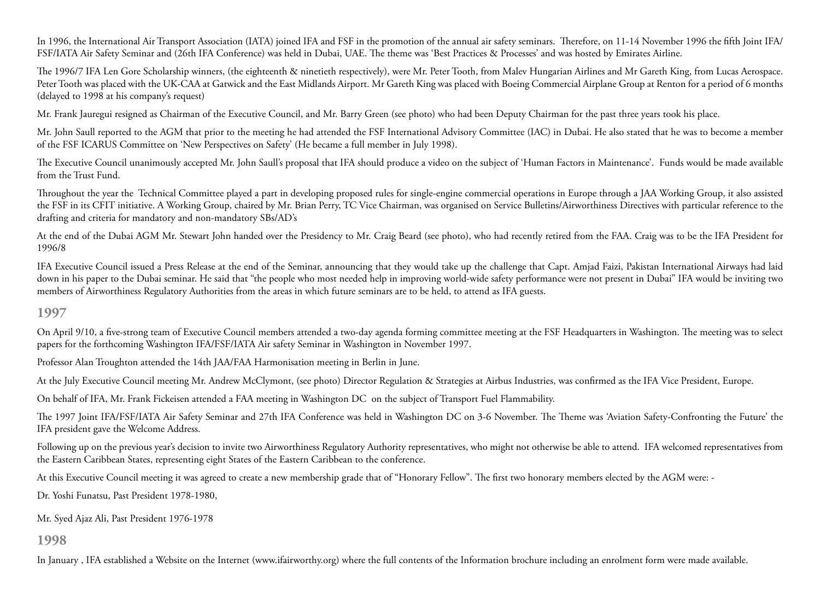In 1996, the International Air Transport Association (IATA) joined IFA and FSF in the promotion of the annual air safety seminars. Therefore, on 11-14 November 1996 the fifth Joint IFA/ FSF/IATA Air Safety Seminar and (26th IFA Conference) was held in Dubai, UAE. The theme was 'Best Practices & Processes' and was hosted by Emirates Airline.

The 1996/7 IFA Len Gore Scholarship winners, (the eighteenth & ninetieth respectively), were Mr. Peter Tooth, from Malev Hungarian Airlines and Mr Gareth King, from Lucas Aerospace. Peter Tooth was placed with the UK-CAA at Gatwick and the East Midlands Airport. Mr Gareth King was placed with Boeing Commercial Airplane Group at Renton for a period of 6 months (delayed to 1998 at his company's request)

Mr. Frank Jauregui resigned as Chairman of the Executive Council, and Mr. Barry Green (see photo) who had been Deputy Chairman for the past three years took his place.

Mr. John Saull reported to the AGM that prior to the meeting he had attended the FSF International Advisory Committee (IAC) in Dubai. He also stated that he was to become a member of the FSF ICARUS Committee on 'New Perspectives on Safety' (He became a full member in July 1998).

The Executive Council unanimously accepted Mr. John Saull's proposal that IFA should produce a video on the subject of 'Human Factors in Maintenance'. Funds would be made available from the Trust Fund.

Throughout the year the Technical Committee played a part in developing proposed rules for single-engine commercial operations in Europe through a JAA Working Group, it also assisted the FSF in its CFIT initiative. A Working Group, chaired by Mr. Brian Perry, TC Vice Chairman, was organised on Service Bulletins/Airworthiness Directives with particular reference to the drafting and criteria for mandatory and non-mandatory SBs/AD's

At the end of the Dubai AGM Mr. Stewart John handed over the Presidency to Mr. Craig Beard (see photo), who had recently retired from the FAA. Craig was to be the IFA President for 1996/8

IFA Executive Council issued a Press Release at the end of the Seminar, announcing that they would take up the challenge that Capt. Amjad Faizi, Pakistan International Airways had laid down in his paper to the Dubai seminar. He said that "the people who most needed help in improving world-wide safety performance were not present in Dubai" IFA would be inviting two members of Airworthiness Regulatory Authorities from the areas in which future seminars are to be held, to attend as IFA guests.

### **1997**

On April 9/10, a five-strong team of Executive Council members attended a two-day agenda forming committee meeting at the FSF Headquarters in Washington. The meeting was to select papers for the forthcoming Washington IFA/FSF/IATA Air safety Seminar in Washington in November 1997.

Professor Alan Troughton attended the 14th JAA/FAA Harmonisation meeting in Berlin in June.

At the July Executive Council meeting Mr. Andrew McClymont, (see photo) Director Regulation & Strategies at Airbus Industries, was confirmed as the IFA Vice President, Europe.

On behalf of IFA, Mr. Frank Fickeisen attended a FAA meeting in Washington DC on the subject of Transport Fuel Flammability.

The 1997 Joint IFA/FSF/IATA Air Safety Seminar and 27th IFA Conference was held in Washington DC on 3-6 November. The Theme was 'Aviation Safety-Confronting the Future' the IFA president gave the Welcome Address.

Following up on the previous year's decision to invite two Airworthiness Regulatory Authority representatives, who might not otherwise be able to attend. IFA welcomed representatives from the Eastern Caribbean States, representing eight States of the Eastern Caribbean to the conference.

At this Executive Council meeting it was agreed to create a new membership grade that of "Honorary Fellow". The first two honorary members elected by the AGM were: -

Dr. Yoshi Funatsu, Past President 1978-1980,

Mr. Syed Ajaz Ali, Past President 1976-1978

**1998**

In January , IFA established a Website on the Internet (www.ifairworthy.org) where the full contents of the Information brochure including an enrolment form were made available.